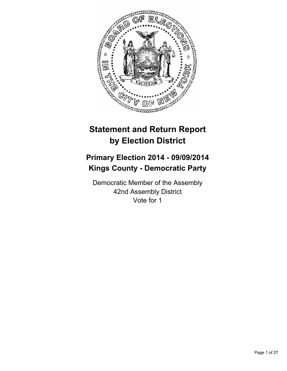

# **Statement and Return Report by Election District**

# **Primary Election 2014 - 09/09/2014 Kings County - Democratic Party**

Democratic Member of the Assembly 42nd Assembly District Vote for 1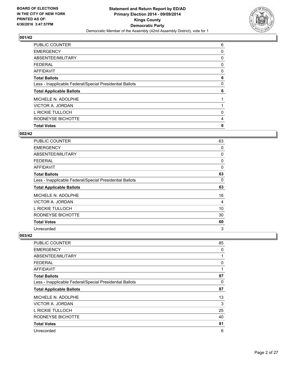

| <b>Total Votes</b>                                       | 6 |
|----------------------------------------------------------|---|
| RODNEYSE BICHOTTE                                        | 4 |
| L RICKIE TULLOCH                                         | 0 |
| VICTOR A. JORDAN                                         |   |
| MICHELE N. ADOLPHE                                       |   |
| <b>Total Applicable Ballots</b>                          | 6 |
| Less - Inapplicable Federal/Special Presidential Ballots | 0 |
| <b>Total Ballots</b>                                     | 6 |
| AFFIDAVIT                                                | 0 |
| <b>FEDERAL</b>                                           | 0 |
| ABSENTEE/MILITARY                                        | 0 |
| <b>EMERGENCY</b>                                         | 0 |
| PUBLIC COUNTER                                           | 6 |

## **002/42**

| <b>PUBLIC COUNTER</b>                                    | 63 |
|----------------------------------------------------------|----|
| <b>EMERGENCY</b>                                         | 0  |
| ABSENTEE/MILITARY                                        | 0  |
| <b>FEDERAL</b>                                           | 0  |
| AFFIDAVIT                                                | 0  |
| <b>Total Ballots</b>                                     | 63 |
| Less - Inapplicable Federal/Special Presidential Ballots | 0  |
| <b>Total Applicable Ballots</b>                          | 63 |
| MICHELE N. ADOLPHE                                       | 16 |
| VICTOR A. JORDAN                                         | 4  |
| L RICKIE TULLOCH                                         | 10 |
| RODNEYSE BICHOTTE                                        | 30 |
| <b>Total Votes</b>                                       | 60 |
| Unrecorded                                               | 3  |

| <b>PUBLIC COUNTER</b>                                    | 85 |
|----------------------------------------------------------|----|
| <b>EMERGENCY</b>                                         | 0  |
| ABSENTEE/MILITARY                                        | 1  |
| <b>FEDERAL</b>                                           | 0  |
| AFFIDAVIT                                                | 1  |
| <b>Total Ballots</b>                                     | 87 |
| Less - Inapplicable Federal/Special Presidential Ballots | 0  |
| <b>Total Applicable Ballots</b>                          | 87 |
| MICHELE N. ADOLPHE                                       | 13 |
| VICTOR A. JORDAN                                         | 3  |
| L RICKIE TULLOCH                                         | 25 |
| RODNEYSE BICHOTTE                                        | 40 |
| <b>Total Votes</b>                                       | 81 |
| Unrecorded                                               | 6  |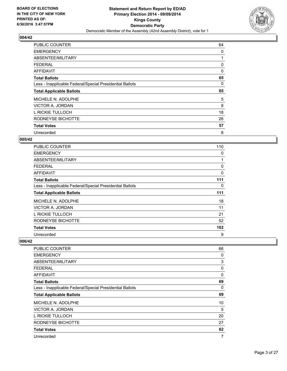

| <b>PUBLIC COUNTER</b>                                    | 64 |
|----------------------------------------------------------|----|
| <b>EMERGENCY</b>                                         | 0  |
| ABSENTEE/MILITARY                                        | 1  |
| <b>FEDERAL</b>                                           | 0  |
| <b>AFFIDAVIT</b>                                         | 0  |
| <b>Total Ballots</b>                                     | 65 |
| Less - Inapplicable Federal/Special Presidential Ballots | 0  |
| <b>Total Applicable Ballots</b>                          | 65 |
| MICHELE N. ADOLPHE                                       | 5  |
| VICTOR A. JORDAN                                         | 8  |
| L RICKIE TULLOCH                                         | 18 |
| RODNEYSE BICHOTTE                                        | 26 |
| <b>Total Votes</b>                                       | 57 |
| Unrecorded                                               | 8  |

## **005/42**

| <b>PUBLIC COUNTER</b>                                    | 110 |
|----------------------------------------------------------|-----|
| <b>EMERGENCY</b>                                         | 0   |
| ABSENTEE/MILITARY                                        | 1   |
| <b>FEDERAL</b>                                           | 0   |
| AFFIDAVIT                                                | 0   |
| <b>Total Ballots</b>                                     | 111 |
| Less - Inapplicable Federal/Special Presidential Ballots | 0   |
| <b>Total Applicable Ballots</b>                          | 111 |
| MICHELE N. ADOLPHE                                       | 18  |
| VICTOR A. JORDAN                                         | 11  |
| L RICKIE TULLOCH                                         | 21  |
| RODNEYSE BICHOTTE                                        | 52  |
| <b>Total Votes</b>                                       | 102 |
| Unrecorded                                               | 9   |

| <b>PUBLIC COUNTER</b>                                    | 66           |
|----------------------------------------------------------|--------------|
| <b>EMERGENCY</b>                                         | 0            |
| ABSENTEE/MILITARY                                        | 3            |
| <b>FEDERAL</b>                                           | 0            |
| AFFIDAVIT                                                | $\mathbf{0}$ |
| <b>Total Ballots</b>                                     | 69           |
| Less - Inapplicable Federal/Special Presidential Ballots | 0            |
| <b>Total Applicable Ballots</b>                          | 69           |
| MICHELE N. ADOLPHE                                       | 10           |
| VICTOR A. JORDAN                                         | 5            |
| L RICKIE TULLOCH                                         | 20           |
| RODNEYSE BICHOTTE                                        | 27           |
| <b>Total Votes</b>                                       | 62           |
| Unrecorded                                               | 7            |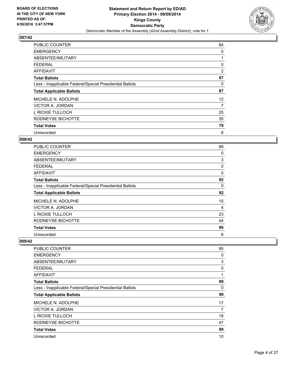

| <b>PUBLIC COUNTER</b>                                    | 84                |
|----------------------------------------------------------|-------------------|
| <b>EMERGENCY</b>                                         | 0                 |
| ABSENTEE/MILITARY                                        |                   |
| <b>FEDERAL</b>                                           | 0                 |
| AFFIDAVIT                                                | 2                 |
| <b>Total Ballots</b>                                     | 87                |
| Less - Inapplicable Federal/Special Presidential Ballots | 0                 |
| <b>Total Applicable Ballots</b>                          | 87                |
| MICHELE N. ADOLPHE                                       | $12 \overline{ }$ |
| VICTOR A. JORDAN                                         | 7                 |
| L RICKIE TULLOCH                                         | 25                |
| RODNEYSE BICHOTTE                                        | 35                |
| <b>Total Votes</b>                                       | 79                |
| Unrecorded                                               | 8                 |

## **008/42**

| PUBLIC COUNTER                                           | 89 |
|----------------------------------------------------------|----|
| <b>EMERGENCY</b>                                         | 0  |
| ABSENTEE/MILITARY                                        | 3  |
| <b>FEDERAL</b>                                           | 0  |
| <b>AFFIDAVIT</b>                                         | 0  |
| <b>Total Ballots</b>                                     | 92 |
| Less - Inapplicable Federal/Special Presidential Ballots | 0  |
| <b>Total Applicable Ballots</b>                          | 92 |
| MICHELE N. ADOLPHE                                       | 15 |
| VICTOR A. JORDAN                                         | 4  |
| L RICKIE TULLOCH                                         | 23 |
| RODNEYSE BICHOTTE                                        | 44 |
| <b>Total Votes</b>                                       | 86 |
| Unrecorded                                               | 6  |

| PUBLIC COUNTER                                           | 95           |
|----------------------------------------------------------|--------------|
| <b>EMERGENCY</b>                                         | 0            |
| ABSENTEE/MILITARY                                        | 3            |
| <b>FEDERAL</b>                                           | 0            |
| AFFIDAVIT                                                | $\mathbf{1}$ |
| <b>Total Ballots</b>                                     | 99           |
| Less - Inapplicable Federal/Special Presidential Ballots | 0            |
| <b>Total Applicable Ballots</b>                          | 99           |
| MICHELE N. ADOLPHE                                       | 17           |
| VICTOR A. JORDAN                                         | 7            |
| L RICKIE TULLOCH                                         | 18           |
| RODNEYSE BICHOTTE                                        | 47           |
| <b>Total Votes</b>                                       | 89           |
| Unrecorded                                               | 10           |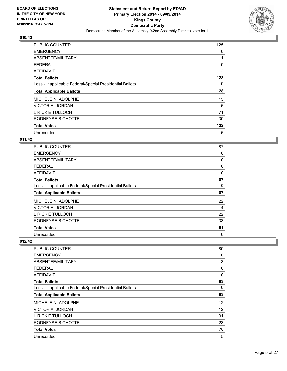

| <b>PUBLIC COUNTER</b>                                    | 125 |
|----------------------------------------------------------|-----|
| <b>EMERGENCY</b>                                         | 0   |
| ABSENTEE/MILITARY                                        |     |
| <b>FEDERAL</b>                                           | 0   |
| AFFIDAVIT                                                | 2   |
| <b>Total Ballots</b>                                     | 128 |
| Less - Inapplicable Federal/Special Presidential Ballots | 0   |
| <b>Total Applicable Ballots</b>                          | 128 |
| MICHELE N. ADOLPHE                                       | 15  |
| VICTOR A. JORDAN                                         | 6   |
|                                                          |     |
| L RICKIE TULLOCH                                         | 71  |
| RODNEYSE BICHOTTE                                        | 30  |
| <b>Total Votes</b>                                       | 122 |

## **011/42**

| <b>PUBLIC COUNTER</b>                                    | 87 |
|----------------------------------------------------------|----|
| <b>EMERGENCY</b>                                         | 0  |
| ABSENTEE/MILITARY                                        | 0  |
| FEDERAL                                                  | 0  |
| <b>AFFIDAVIT</b>                                         | 0  |
| <b>Total Ballots</b>                                     | 87 |
| Less - Inapplicable Federal/Special Presidential Ballots | 0  |
| <b>Total Applicable Ballots</b>                          | 87 |
| MICHELE N. ADOLPHE                                       | 22 |
| VICTOR A. JORDAN                                         | 4  |
| L RICKIE TULLOCH                                         | 22 |
| RODNEYSE BICHOTTE                                        | 33 |
| <b>Total Votes</b>                                       | 81 |
| Unrecorded                                               | 6  |

| <b>PUBLIC COUNTER</b>                                    | 80       |
|----------------------------------------------------------|----------|
| <b>EMERGENCY</b>                                         | 0        |
| ABSENTEE/MILITARY                                        | 3        |
| <b>FEDERAL</b>                                           | 0        |
| AFFIDAVIT                                                | $\Omega$ |
| <b>Total Ballots</b>                                     | 83       |
| Less - Inapplicable Federal/Special Presidential Ballots | 0        |
| <b>Total Applicable Ballots</b>                          | 83       |
| MICHELE N. ADOLPHE                                       | 12       |
| VICTOR A. JORDAN                                         | 12       |
| L RICKIE TULLOCH                                         | 31       |
| RODNEYSE BICHOTTE                                        | 23       |
| <b>Total Votes</b>                                       | 78       |
| Unrecorded                                               | 5        |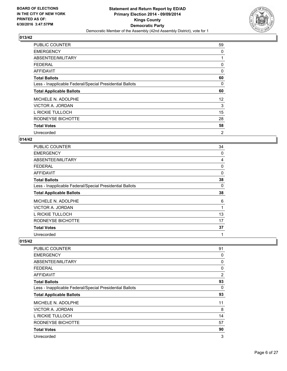

| <b>PUBLIC COUNTER</b>                                    | 59 |
|----------------------------------------------------------|----|
| <b>EMERGENCY</b>                                         | 0  |
| ABSENTEE/MILITARY                                        |    |
| <b>FEDERAL</b>                                           | 0  |
| AFFIDAVIT                                                | 0  |
| <b>Total Ballots</b>                                     | 60 |
| Less - Inapplicable Federal/Special Presidential Ballots | 0  |
| <b>Total Applicable Ballots</b>                          | 60 |
| MICHELE N. ADOLPHE                                       | 12 |
| VICTOR A. JORDAN                                         | 3  |
| L RICKIE TULLOCH                                         | 15 |
| RODNEYSE BICHOTTE                                        | 28 |
| <b>Total Votes</b>                                       | 58 |
| Unrecorded                                               | 2  |

## **014/42**

| PUBLIC COUNTER                                           | 34 |
|----------------------------------------------------------|----|
| <b>EMERGENCY</b>                                         | 0  |
| ABSENTEE/MILITARY                                        | 4  |
| <b>FEDERAL</b>                                           | 0  |
| AFFIDAVIT                                                | 0  |
| <b>Total Ballots</b>                                     | 38 |
| Less - Inapplicable Federal/Special Presidential Ballots | 0  |
| <b>Total Applicable Ballots</b>                          | 38 |
| MICHELE N. ADOLPHE                                       | 6  |
| VICTOR A. JORDAN                                         | 1  |
| L RICKIE TULLOCH                                         | 13 |
| RODNEYSE BICHOTTE                                        | 17 |
| <b>Total Votes</b>                                       | 37 |
| Unrecorded                                               | 1  |

| PUBLIC COUNTER                                           | 91             |
|----------------------------------------------------------|----------------|
| <b>EMERGENCY</b>                                         | 0              |
| ABSENTEE/MILITARY                                        | 0              |
| <b>FEDERAL</b>                                           | 0              |
| AFFIDAVIT                                                | $\overline{2}$ |
| <b>Total Ballots</b>                                     | 93             |
| Less - Inapplicable Federal/Special Presidential Ballots | 0              |
| <b>Total Applicable Ballots</b>                          | 93             |
| MICHELE N. ADOLPHE                                       | 11             |
| VICTOR A. JORDAN                                         | 8              |
| L RICKIE TULLOCH                                         | 14             |
| RODNEYSE BICHOTTE                                        | 57             |
| <b>Total Votes</b>                                       | 90             |
| Unrecorded                                               | 3              |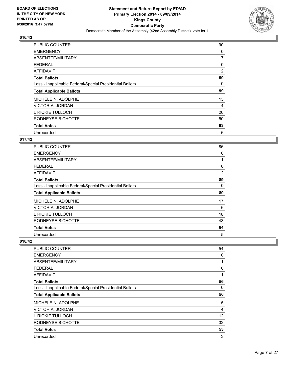

| <b>PUBLIC COUNTER</b>                                    | 90             |
|----------------------------------------------------------|----------------|
| <b>EMERGENCY</b>                                         | 0              |
| ABSENTEE/MILITARY                                        | 7              |
| <b>FEDERAL</b>                                           | 0              |
| <b>AFFIDAVIT</b>                                         | $\overline{2}$ |
| <b>Total Ballots</b>                                     | 99             |
| Less - Inapplicable Federal/Special Presidential Ballots | 0              |
| <b>Total Applicable Ballots</b>                          | 99             |
| MICHELE N. ADOLPHE                                       | 13             |
| VICTOR A. JORDAN                                         | 4              |
| L RICKIE TULLOCH                                         | 26             |
| RODNEYSE BICHOTTE                                        | 50             |
| <b>Total Votes</b>                                       | 93             |
| Unrecorded                                               | 6              |

## **017/42**

| PUBLIC COUNTER                                           | 86 |
|----------------------------------------------------------|----|
| <b>EMERGENCY</b>                                         | 0  |
| ABSENTEE/MILITARY                                        | 1  |
| FEDERAL                                                  | 0  |
| <b>AFFIDAVIT</b>                                         | 2  |
| <b>Total Ballots</b>                                     | 89 |
| Less - Inapplicable Federal/Special Presidential Ballots | 0  |
| <b>Total Applicable Ballots</b>                          | 89 |
| MICHELE N. ADOLPHE                                       | 17 |
| VICTOR A. JORDAN                                         | 6  |
| L RICKIE TULLOCH                                         | 18 |
| RODNEYSE BICHOTTE                                        | 43 |
| <b>Total Votes</b>                                       | 84 |
| Unrecorded                                               | 5  |

| PUBLIC COUNTER                                           | 54           |
|----------------------------------------------------------|--------------|
| <b>EMERGENCY</b>                                         | 0            |
| ABSENTEE/MILITARY                                        | $\mathbf{1}$ |
| <b>FEDERAL</b>                                           | 0            |
| AFFIDAVIT                                                | 1            |
| <b>Total Ballots</b>                                     | 56           |
| Less - Inapplicable Federal/Special Presidential Ballots | 0            |
| <b>Total Applicable Ballots</b>                          | 56           |
| MICHELE N. ADOLPHE                                       | 5            |
| VICTOR A. JORDAN                                         | 4            |
| L RICKIE TULLOCH                                         | 12           |
| RODNEYSE BICHOTTE                                        | 32           |
| <b>Total Votes</b>                                       | 53           |
| Unrecorded                                               | 3            |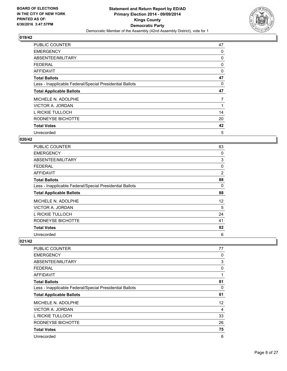

| <b>PUBLIC COUNTER</b>                                    | 47 |
|----------------------------------------------------------|----|
| <b>EMERGENCY</b>                                         | 0  |
| ABSENTEE/MILITARY                                        | 0  |
| <b>FEDERAL</b>                                           | 0  |
| AFFIDAVIT                                                | 0  |
| <b>Total Ballots</b>                                     | 47 |
| Less - Inapplicable Federal/Special Presidential Ballots | 0  |
| <b>Total Applicable Ballots</b>                          | 47 |
| MICHELE N. ADOLPHE                                       | 7  |
| VICTOR A. JORDAN                                         |    |
| L RICKIE TULLOCH                                         | 14 |
| RODNEYSE BICHOTTE                                        | 20 |
| <b>Total Votes</b>                                       | 42 |
| Unrecorded                                               | 5  |

## **020/42**

| PUBLIC COUNTER                                           | 83             |
|----------------------------------------------------------|----------------|
| <b>EMERGENCY</b>                                         | 0              |
| ABSENTEE/MILITARY                                        | 3              |
| FEDERAL                                                  | 0              |
| <b>AFFIDAVIT</b>                                         | $\overline{2}$ |
| <b>Total Ballots</b>                                     | 88             |
| Less - Inapplicable Federal/Special Presidential Ballots | 0              |
| <b>Total Applicable Ballots</b>                          | 88             |
| MICHELE N. ADOLPHE                                       | 12             |
| VICTOR A. JORDAN                                         | 5              |
| L RICKIE TULLOCH                                         | 24             |
| RODNEYSE BICHOTTE                                        | 41             |
| <b>Total Votes</b>                                       | 82             |
| Unrecorded                                               | 6              |

| <b>PUBLIC COUNTER</b>                                    | 77 |
|----------------------------------------------------------|----|
| <b>EMERGENCY</b>                                         | 0  |
| ABSENTEE/MILITARY                                        | 3  |
| <b>FEDERAL</b>                                           | 0  |
| AFFIDAVIT                                                | 1  |
| <b>Total Ballots</b>                                     | 81 |
| Less - Inapplicable Federal/Special Presidential Ballots | 0  |
| <b>Total Applicable Ballots</b>                          | 81 |
| MICHELE N. ADOLPHE                                       | 12 |
| VICTOR A. JORDAN                                         | 4  |
| L RICKIE TULLOCH                                         | 33 |
| RODNEYSE BICHOTTE                                        | 26 |
| <b>Total Votes</b>                                       | 75 |
| Unrecorded                                               | 6  |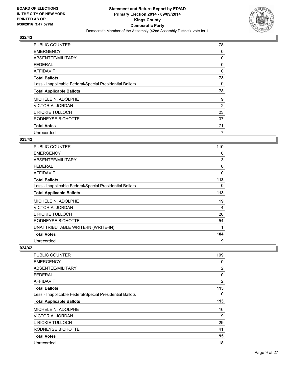

| <b>PUBLIC COUNTER</b>                                    | 78 |
|----------------------------------------------------------|----|
| <b>EMERGENCY</b>                                         | 0  |
| ABSENTEE/MILITARY                                        | 0  |
| <b>FEDERAL</b>                                           | 0  |
| <b>AFFIDAVIT</b>                                         | 0  |
| <b>Total Ballots</b>                                     | 78 |
| Less - Inapplicable Federal/Special Presidential Ballots | 0  |
| <b>Total Applicable Ballots</b>                          | 78 |
| MICHELE N. ADOLPHE                                       | 9  |
| VICTOR A. JORDAN                                         | 2  |
| L RICKIE TULLOCH                                         | 23 |
| RODNEYSE BICHOTTE                                        | 37 |
| <b>Total Votes</b>                                       | 71 |
| Unrecorded                                               | 7  |

## **023/42**

| <b>PUBLIC COUNTER</b>                                    | 110      |
|----------------------------------------------------------|----------|
| <b>EMERGENCY</b>                                         | 0        |
| ABSENTEE/MILITARY                                        | 3        |
| <b>FEDERAL</b>                                           | 0        |
| AFFIDAVIT                                                | $\Omega$ |
| <b>Total Ballots</b>                                     | 113      |
| Less - Inapplicable Federal/Special Presidential Ballots | 0        |
| <b>Total Applicable Ballots</b>                          | 113      |
| MICHELE N. ADOLPHE                                       | 19       |
| VICTOR A. JORDAN                                         | 4        |
| L RICKIE TULLOCH                                         | 26       |
| RODNEYSE BICHOTTE                                        | 54       |
| UNATTRIBUTABLE WRITE-IN (WRITE-IN)                       | 1        |
| <b>Total Votes</b>                                       | 104      |
| Unrecorded                                               | 9        |

| <b>PUBLIC COUNTER</b>                                    | 109            |
|----------------------------------------------------------|----------------|
| <b>EMERGENCY</b>                                         | 0              |
| ABSENTEE/MILITARY                                        | $\overline{2}$ |
| <b>FEDERAL</b>                                           | 0              |
| AFFIDAVIT                                                | $\overline{2}$ |
| <b>Total Ballots</b>                                     | 113            |
| Less - Inapplicable Federal/Special Presidential Ballots | 0              |
| <b>Total Applicable Ballots</b>                          | 113            |
| MICHELE N. ADOLPHE                                       | 16             |
| VICTOR A. JORDAN                                         | 9              |
| L RICKIE TULLOCH                                         | 29             |
| RODNEYSE BICHOTTE                                        | 41             |
| <b>Total Votes</b>                                       | 95             |
| Unrecorded                                               | 18             |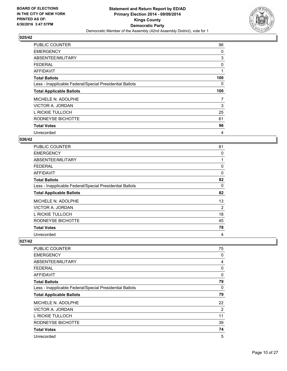

| <b>PUBLIC COUNTER</b>                                    | 96  |
|----------------------------------------------------------|-----|
| <b>EMERGENCY</b>                                         | 0   |
| ABSENTEE/MILITARY                                        | 3   |
| <b>FEDERAL</b>                                           | 0   |
| AFFIDAVIT                                                |     |
| <b>Total Ballots</b>                                     | 100 |
| Less - Inapplicable Federal/Special Presidential Ballots | 0   |
| <b>Total Applicable Ballots</b>                          | 100 |
| MICHELE N. ADOLPHE                                       | 7   |
| VICTOR A. JORDAN                                         | 3   |
| L RICKIE TULLOCH                                         | 25  |
| RODNEYSE BICHOTTE                                        | 61  |
| <b>Total Votes</b>                                       | 96  |
| Unrecorded                                               | 4   |

## **026/42**

| PUBLIC COUNTER                                           | 81 |
|----------------------------------------------------------|----|
| <b>EMERGENCY</b>                                         | 0  |
| ABSENTEE/MILITARY                                        | 1  |
| FEDERAL                                                  | 0  |
| AFFIDAVIT                                                | 0  |
| <b>Total Ballots</b>                                     | 82 |
| Less - Inapplicable Federal/Special Presidential Ballots | 0  |
| <b>Total Applicable Ballots</b>                          | 82 |
| MICHELE N. ADOLPHE                                       | 13 |
| VICTOR A. JORDAN                                         | 2  |
| L RICKIE TULLOCH                                         | 18 |
| RODNEYSE BICHOTTE                                        | 45 |
| <b>Total Votes</b>                                       | 78 |
| Unrecorded                                               | 4  |

| 75           |
|--------------|
| 0            |
| 4            |
| 0            |
| $\mathbf{0}$ |
| 79           |
| 0            |
| 79           |
| 22           |
| 2            |
| 11           |
| 39           |
| 74           |
| 5            |
|              |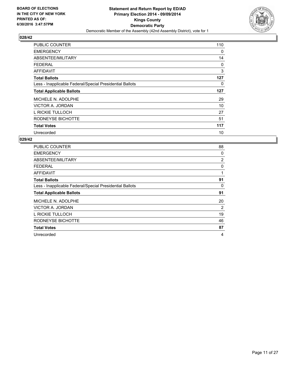

| <b>PUBLIC COUNTER</b>                                    | 110 |
|----------------------------------------------------------|-----|
| <b>EMERGENCY</b>                                         | 0   |
| ABSENTEE/MILITARY                                        | 14  |
| <b>FEDERAL</b>                                           | 0   |
| AFFIDAVIT                                                | 3   |
| <b>Total Ballots</b>                                     | 127 |
| Less - Inapplicable Federal/Special Presidential Ballots | 0   |
| <b>Total Applicable Ballots</b>                          | 127 |
| MICHELE N. ADOLPHE                                       | 29  |
| VICTOR A. JORDAN                                         | 10  |
| L RICKIE TULLOCH                                         | 27  |
| RODNEYSE BICHOTTE                                        | 51  |
| <b>Total Votes</b>                                       | 117 |
| Unrecorded                                               | 10  |

| <b>PUBLIC COUNTER</b>                                    | 88             |
|----------------------------------------------------------|----------------|
| <b>EMERGENCY</b>                                         | 0              |
| ABSENTEE/MILITARY                                        | $\overline{2}$ |
| <b>FEDERAL</b>                                           | 0              |
| <b>AFFIDAVIT</b>                                         | 1              |
| <b>Total Ballots</b>                                     | 91             |
| Less - Inapplicable Federal/Special Presidential Ballots | 0              |
| <b>Total Applicable Ballots</b>                          | 91             |
| MICHELE N. ADOLPHE                                       | 20             |
| VICTOR A. JORDAN                                         | 2              |
| L RICKIE TULLOCH                                         | 19             |
| RODNEYSE BICHOTTE                                        | 46             |
| <b>Total Votes</b>                                       | 87             |
| Unrecorded                                               | 4              |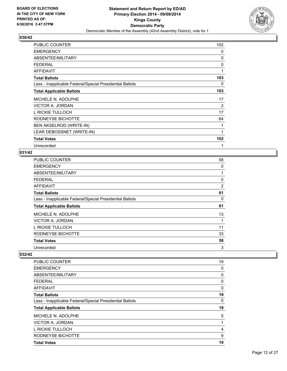

| PUBLIC COUNTER                                           | 102 |
|----------------------------------------------------------|-----|
| <b>EMERGENCY</b>                                         | 0   |
| ABSENTEE/MILITARY                                        | 0   |
| <b>FEDERAL</b>                                           | 0   |
| <b>AFFIDAVIT</b>                                         | 1   |
| <b>Total Ballots</b>                                     | 103 |
| Less - Inapplicable Federal/Special Presidential Ballots | 0   |
| <b>Total Applicable Ballots</b>                          | 103 |
| MICHELE N. ADOLPHE                                       | 17  |
| VICTOR A. JORDAN                                         | 2   |
| L RICKIE TULLOCH                                         | 17  |
| RODNEYSE BICHOTTE                                        | 64  |
| BEN AKSELROD (WRITE-IN)                                  | 1   |
| LEAR DEBOSSNET (WRITE-IN)                                | 1   |
| <b>Total Votes</b>                                       | 102 |
| Unrecorded                                               | 1   |

## **031/42**

| PUBLIC COUNTER                                           | 58 |
|----------------------------------------------------------|----|
| <b>EMERGENCY</b>                                         | 0  |
| ABSENTEE/MILITARY                                        |    |
| <b>FEDERAL</b>                                           | 0  |
| <b>AFFIDAVIT</b>                                         | 2  |
| <b>Total Ballots</b>                                     | 61 |
| Less - Inapplicable Federal/Special Presidential Ballots | 0  |
| <b>Total Applicable Ballots</b>                          | 61 |
| MICHELE N. ADOLPHE                                       | 13 |
| <b>VICTOR A. JORDAN</b>                                  |    |
| L RICKIE TULLOCH                                         | 11 |
| RODNEYSE BICHOTTE                                        | 33 |
| <b>Total Votes</b>                                       | 58 |
| Unrecorded                                               | 3  |

| PUBLIC COUNTER                                           | 19 |
|----------------------------------------------------------|----|
| <b>EMERGENCY</b>                                         | 0  |
| ABSENTEE/MILITARY                                        | 0  |
| <b>FEDERAL</b>                                           | 0  |
| AFFIDAVIT                                                | 0  |
| <b>Total Ballots</b>                                     | 19 |
| Less - Inapplicable Federal/Special Presidential Ballots | 0  |
| <b>Total Applicable Ballots</b>                          | 19 |
| MICHELE N. ADOLPHE                                       | 5  |
| VICTOR A. JORDAN                                         | 1  |
| L RICKIE TULLOCH                                         | 4  |
| RODNEYSE BICHOTTE                                        | 9  |
| <b>Total Votes</b>                                       | 19 |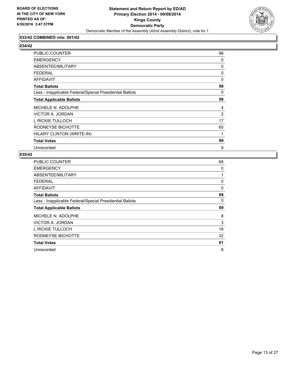

## **033/42 COMBINED into: 001/42**

## **034/42**

| <b>PUBLIC COUNTER</b>                                    | 98 |
|----------------------------------------------------------|----|
| <b>EMERGENCY</b>                                         | 0  |
| ABSENTEE/MILITARY                                        | 0  |
| <b>FEDERAL</b>                                           | 0  |
| <b>AFFIDAVIT</b>                                         | 0  |
| <b>Total Ballots</b>                                     | 98 |
| Less - Inapplicable Federal/Special Presidential Ballots | 0  |
| <b>Total Applicable Ballots</b>                          | 98 |
| MICHELE N. ADOLPHE                                       | 4  |
| VICTOR A. JORDAN                                         | 2  |
| L RICKIE TULLOCH                                         | 17 |
| RODNEYSE BICHOTTE                                        | 65 |
| HILARY CLINTON (WRITE-IN)                                | 1  |
| <b>Total Votes</b>                                       | 89 |
| Unrecorded                                               | 9  |

| <b>PUBLIC COUNTER</b>                                    | 68 |
|----------------------------------------------------------|----|
| <b>EMERGENCY</b>                                         | 0  |
| ABSENTEE/MILITARY                                        |    |
| <b>FEDERAL</b>                                           | 0  |
| AFFIDAVIT                                                | 0  |
| <b>Total Ballots</b>                                     | 69 |
| Less - Inapplicable Federal/Special Presidential Ballots | 0  |
| <b>Total Applicable Ballots</b>                          | 69 |
| MICHELE N. ADOLPHE                                       | 8  |
| VICTOR A. JORDAN                                         | 3  |
| L RICKIE TULLOCH                                         | 18 |
| RODNEYSE BICHOTTE                                        | 32 |
| <b>Total Votes</b>                                       | 61 |
| Unrecorded                                               | 8  |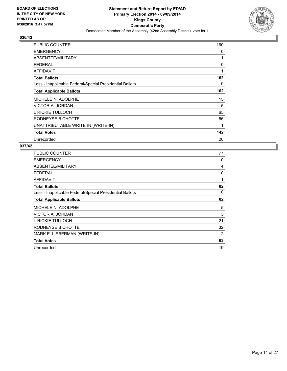

| <b>PUBLIC COUNTER</b>                                    | 160 |
|----------------------------------------------------------|-----|
| <b>EMERGENCY</b>                                         | 0   |
| ABSENTEE/MILITARY                                        | 1   |
| <b>FEDERAL</b>                                           | 0   |
| AFFIDAVIT                                                | 1   |
| <b>Total Ballots</b>                                     | 162 |
| Less - Inapplicable Federal/Special Presidential Ballots | 0   |
| <b>Total Applicable Ballots</b>                          | 162 |
| MICHELE N. ADOLPHE                                       | 15  |
| VICTOR A. JORDAN                                         | 5   |
| L RICKIE TULLOCH                                         | 65  |
| RODNEYSE BICHOTTE                                        | 56  |
| UNATTRIBUTABLE WRITE-IN (WRITE-IN)                       | 1   |
| <b>Total Votes</b>                                       | 142 |
| Unrecorded                                               | 20  |

| <b>PUBLIC COUNTER</b>                                    | 77 |
|----------------------------------------------------------|----|
| <b>EMERGENCY</b>                                         | 0  |
| ABSENTEE/MILITARY                                        | 4  |
| <b>FEDERAL</b>                                           | 0  |
| AFFIDAVIT                                                | 1  |
| <b>Total Ballots</b>                                     | 82 |
| Less - Inapplicable Federal/Special Presidential Ballots | 0  |
| <b>Total Applicable Ballots</b>                          | 82 |
| MICHELE N. ADOLPHE                                       | 5  |
| VICTOR A. JORDAN                                         | 3  |
| L RICKIE TULLOCH                                         | 21 |
| RODNEYSE BICHOTTE                                        | 32 |
| MARK E. LIEBERMAN (WRITE-IN)                             | 2  |
| <b>Total Votes</b>                                       | 63 |
| Unrecorded                                               | 19 |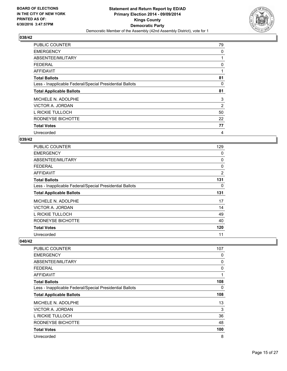

| <b>PUBLIC COUNTER</b>                                    | 79 |
|----------------------------------------------------------|----|
| <b>EMERGENCY</b>                                         | 0  |
| ABSENTEE/MILITARY                                        |    |
| <b>FEDERAL</b>                                           | 0  |
| AFFIDAVIT                                                | 1  |
| <b>Total Ballots</b>                                     | 81 |
| Less - Inapplicable Federal/Special Presidential Ballots | 0  |
| <b>Total Applicable Ballots</b>                          | 81 |
| MICHELE N. ADOLPHE                                       | 3  |
| VICTOR A. JORDAN                                         | 2  |
| L RICKIE TULLOCH                                         | 50 |
|                                                          |    |
| RODNEYSE BICHOTTE                                        | 22 |
| <b>Total Votes</b>                                       | 77 |

## **039/42**

| PUBLIC COUNTER                                           | 129            |
|----------------------------------------------------------|----------------|
| <b>EMERGENCY</b>                                         | 0              |
| ABSENTEE/MILITARY                                        | 0              |
| <b>FEDERAL</b>                                           | 0              |
| <b>AFFIDAVIT</b>                                         | $\overline{2}$ |
| <b>Total Ballots</b>                                     | 131            |
| Less - Inapplicable Federal/Special Presidential Ballots | 0              |
| <b>Total Applicable Ballots</b>                          | 131            |
| MICHELE N. ADOLPHE                                       | 17             |
| VICTOR A. JORDAN                                         | 14             |
| L RICKIE TULLOCH                                         | 49             |
| RODNEYSE BICHOTTE                                        | 40             |
| <b>Total Votes</b>                                       | 120            |
| Unrecorded                                               | 11             |

| PUBLIC COUNTER                                           | 107 |
|----------------------------------------------------------|-----|
| <b>EMERGENCY</b>                                         | 0   |
| ABSENTEE/MILITARY                                        | 0   |
| <b>FEDERAL</b>                                           | 0   |
| AFFIDAVIT                                                | 1   |
| <b>Total Ballots</b>                                     | 108 |
| Less - Inapplicable Federal/Special Presidential Ballots | 0   |
| <b>Total Applicable Ballots</b>                          | 108 |
| MICHELE N. ADOLPHE                                       | 13  |
| VICTOR A. JORDAN                                         | 3   |
| L RICKIE TULLOCH                                         | 36  |
| RODNEYSE BICHOTTE                                        | 48  |
| <b>Total Votes</b>                                       | 100 |
| Unrecorded                                               | 8   |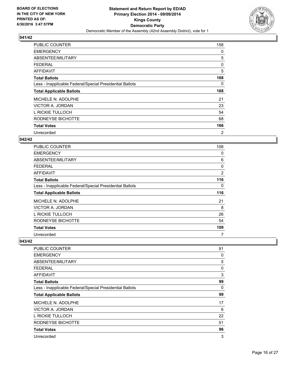

| <b>PUBLIC COUNTER</b>                                    | 158 |
|----------------------------------------------------------|-----|
| <b>EMERGENCY</b>                                         | 0   |
| ABSENTEE/MILITARY                                        | 5   |
| <b>FEDERAL</b>                                           | 0   |
| AFFIDAVIT                                                | 5   |
| <b>Total Ballots</b>                                     | 168 |
| Less - Inapplicable Federal/Special Presidential Ballots | 0   |
| <b>Total Applicable Ballots</b>                          | 168 |
| MICHELE N. ADOLPHE                                       | 21  |
|                                                          |     |
| VICTOR A. JORDAN                                         | 23  |
| L RICKIE TULLOCH                                         | 54  |
| RODNEYSE BICHOTTE                                        | 68  |
| <b>Total Votes</b>                                       | 166 |

## **042/42**

| PUBLIC COUNTER                                           | 108            |
|----------------------------------------------------------|----------------|
| <b>EMERGENCY</b>                                         | 0              |
| ABSENTEE/MILITARY                                        | 6              |
| <b>FEDERAL</b>                                           | 0              |
| <b>AFFIDAVIT</b>                                         | $\overline{2}$ |
| <b>Total Ballots</b>                                     | 116            |
| Less - Inapplicable Federal/Special Presidential Ballots | 0              |
| <b>Total Applicable Ballots</b>                          | 116            |
| MICHELE N. ADOLPHE                                       | 21             |
| VICTOR A. JORDAN                                         | 8              |
| L RICKIE TULLOCH                                         | 26             |
| RODNEYSE BICHOTTE                                        | 54             |
| <b>Total Votes</b>                                       | 109            |
| Unrecorded                                               | 7              |

| <b>PUBLIC COUNTER</b>                                    | 91 |
|----------------------------------------------------------|----|
| <b>EMERGENCY</b>                                         | 0  |
| ABSENTEE/MILITARY                                        | 5  |
| <b>FEDERAL</b>                                           | 0  |
| AFFIDAVIT                                                | 3  |
| <b>Total Ballots</b>                                     | 99 |
| Less - Inapplicable Federal/Special Presidential Ballots | 0  |
| <b>Total Applicable Ballots</b>                          | 99 |
| MICHELE N. ADOLPHE                                       | 17 |
| VICTOR A. JORDAN                                         | 6  |
| L RICKIE TULLOCH                                         | 22 |
| RODNEYSE BICHOTTE                                        | 51 |
| <b>Total Votes</b>                                       | 96 |
| Unrecorded                                               | 3  |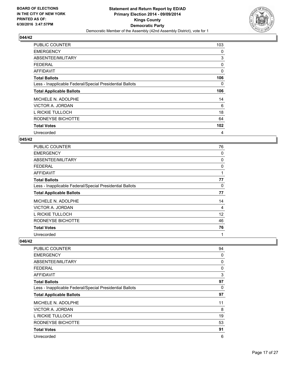

| <b>PUBLIC COUNTER</b>                                    | 103 |
|----------------------------------------------------------|-----|
| <b>EMERGENCY</b>                                         | 0   |
| ABSENTEE/MILITARY                                        | 3   |
| <b>FEDERAL</b>                                           | 0   |
| AFFIDAVIT                                                | 0   |
| <b>Total Ballots</b>                                     | 106 |
| Less - Inapplicable Federal/Special Presidential Ballots | 0   |
| <b>Total Applicable Ballots</b>                          | 106 |
| MICHELE N. ADOLPHE                                       | 14  |
|                                                          |     |
| VICTOR A. JORDAN                                         | 6   |
| L RICKIE TULLOCH                                         | 18  |
| RODNEYSE BICHOTTE                                        | 64  |
| <b>Total Votes</b>                                       | 102 |

#### **045/42**

| PUBLIC COUNTER                                           | 76 |
|----------------------------------------------------------|----|
| <b>EMERGENCY</b>                                         | 0  |
| ABSENTEE/MILITARY                                        | 0  |
| FEDERAL                                                  | 0  |
| AFFIDAVIT                                                | 1  |
| <b>Total Ballots</b>                                     | 77 |
| Less - Inapplicable Federal/Special Presidential Ballots | 0  |
| <b>Total Applicable Ballots</b>                          | 77 |
| MICHELE N. ADOLPHE                                       | 14 |
| VICTOR A. JORDAN                                         | 4  |
| L RICKIE TULLOCH                                         | 12 |
| RODNEYSE BICHOTTE                                        | 46 |
| <b>Total Votes</b>                                       | 76 |
| Unrecorded                                               | 1  |

| PUBLIC COUNTER                                           | 94 |
|----------------------------------------------------------|----|
| <b>EMERGENCY</b>                                         | 0  |
| ABSENTEE/MILITARY                                        | 0  |
| <b>FEDERAL</b>                                           | 0  |
| AFFIDAVIT                                                | 3  |
| Total Ballots                                            | 97 |
| Less - Inapplicable Federal/Special Presidential Ballots | 0  |
| <b>Total Applicable Ballots</b>                          | 97 |
| MICHELE N. ADOLPHE                                       | 11 |
| VICTOR A. JORDAN                                         | 8  |
| L RICKIE TULLOCH                                         | 19 |
| RODNEYSE BICHOTTE                                        | 53 |
| <b>Total Votes</b>                                       | 91 |
| Unrecorded                                               | 6  |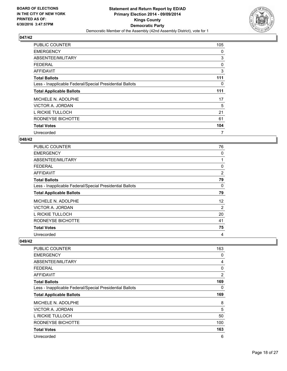

| <b>PUBLIC COUNTER</b>                                    | 105 |
|----------------------------------------------------------|-----|
| <b>EMERGENCY</b>                                         | 0   |
| ABSENTEE/MILITARY                                        | 3   |
| <b>FEDERAL</b>                                           | 0   |
| AFFIDAVIT                                                | 3   |
| <b>Total Ballots</b>                                     | 111 |
| Less - Inapplicable Federal/Special Presidential Ballots | 0   |
| <b>Total Applicable Ballots</b>                          | 111 |
| MICHELE N. ADOLPHE                                       | 17  |
| VICTOR A. JORDAN                                         | 5   |
| L RICKIE TULLOCH                                         | 21  |
| RODNEYSE BICHOTTE                                        | 61  |
| <b>Total Votes</b>                                       | 104 |
| Unrecorded                                               | 7   |

#### **048/42**

| PUBLIC COUNTER                                           | 76 |
|----------------------------------------------------------|----|
| <b>EMERGENCY</b>                                         | 0  |
| ABSENTEE/MILITARY                                        | 1  |
| <b>FEDERAL</b>                                           | 0  |
| AFFIDAVIT                                                | 2  |
| <b>Total Ballots</b>                                     | 79 |
| Less - Inapplicable Federal/Special Presidential Ballots | 0  |
| <b>Total Applicable Ballots</b>                          | 79 |
| MICHELE N. ADOLPHE                                       | 12 |
| VICTOR A. JORDAN                                         | 2  |
| L RICKIE TULLOCH                                         | 20 |
| RODNEYSE BICHOTTE                                        | 41 |
| <b>Total Votes</b>                                       | 75 |
| Unrecorded                                               | 4  |

| <b>PUBLIC COUNTER</b>                                    | 163            |
|----------------------------------------------------------|----------------|
| <b>EMERGENCY</b>                                         | 0              |
| ABSENTEE/MILITARY                                        | 4              |
| <b>FEDERAL</b>                                           | 0              |
| AFFIDAVIT                                                | $\overline{2}$ |
| <b>Total Ballots</b>                                     | 169            |
| Less - Inapplicable Federal/Special Presidential Ballots | 0              |
| <b>Total Applicable Ballots</b>                          | 169            |
| MICHELE N. ADOLPHE                                       | 8              |
| VICTOR A. JORDAN                                         | 5              |
| L RICKIE TULLOCH                                         | 50             |
| RODNEYSE BICHOTTE                                        | 100            |
| <b>Total Votes</b>                                       | 163            |
| Unrecorded                                               | 6              |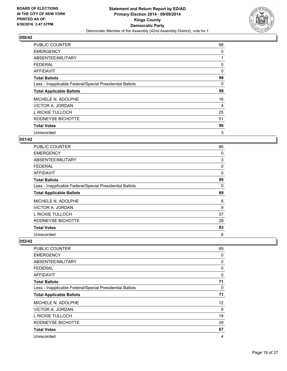

| <b>PUBLIC COUNTER</b>                                    | 98 |
|----------------------------------------------------------|----|
| <b>EMERGENCY</b>                                         | 0  |
| ABSENTEE/MILITARY                                        |    |
| <b>FEDERAL</b>                                           | 0  |
| AFFIDAVIT                                                | 0  |
| <b>Total Ballots</b>                                     | 99 |
| Less - Inapplicable Federal/Special Presidential Ballots | 0  |
| <b>Total Applicable Ballots</b>                          | 99 |
| MICHELE N. ADOLPHE                                       | 16 |
| VICTOR A. JORDAN                                         | 4  |
| L RICKIE TULLOCH                                         | 25 |
| RODNEYSE BICHOTTE                                        | 51 |
| <b>Total Votes</b>                                       | 96 |
| Unrecorded                                               | 3  |

## **051/42**

| PUBLIC COUNTER                                           | 86 |
|----------------------------------------------------------|----|
| <b>EMERGENCY</b>                                         | 0  |
| ABSENTEE/MILITARY                                        | 3  |
| <b>FEDERAL</b>                                           | 0  |
| <b>AFFIDAVIT</b>                                         | 0  |
| <b>Total Ballots</b>                                     | 89 |
| Less - Inapplicable Federal/Special Presidential Ballots | 0  |
| <b>Total Applicable Ballots</b>                          | 89 |
| MICHELE N. ADOLPHE                                       | 8  |
| VICTOR A. JORDAN                                         | 9  |
| L RICKIE TULLOCH                                         | 37 |
| RODNEYSE BICHOTTE                                        | 29 |
| <b>Total Votes</b>                                       | 83 |
| Unrecorded                                               | 6  |

| PUBLIC COUNTER                                           | 69          |
|----------------------------------------------------------|-------------|
| <b>EMERGENCY</b>                                         | 0           |
| ABSENTEE/MILITARY                                        | 2           |
| <b>FEDERAL</b>                                           | 0           |
| <b>AFFIDAVIT</b>                                         | $\mathbf 0$ |
| <b>Total Ballots</b>                                     | 71          |
| Less - Inapplicable Federal/Special Presidential Ballots | 0           |
| <b>Total Applicable Ballots</b>                          | 71          |
| MICHELE N. ADOLPHE                                       | 12          |
| VICTOR A. JORDAN                                         | 8           |
| L RICKIE TULLOCH                                         | 18          |
| RODNEYSE BICHOTTE                                        | 29          |
| <b>Total Votes</b>                                       | 67          |
| Unrecorded                                               | 4           |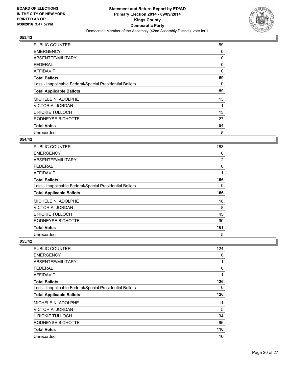

| <b>PUBLIC COUNTER</b>                                    | 59 |
|----------------------------------------------------------|----|
| <b>EMERGENCY</b>                                         | 0  |
| ABSENTEE/MILITARY                                        | 0  |
| <b>FEDERAL</b>                                           | 0  |
| AFFIDAVIT                                                | 0  |
| <b>Total Ballots</b>                                     | 59 |
| Less - Inapplicable Federal/Special Presidential Ballots | 0  |
| <b>Total Applicable Ballots</b>                          | 59 |
| MICHELE N. ADOLPHE                                       | 13 |
| VICTOR A. JORDAN                                         | 1  |
| L RICKIE TULLOCH                                         | 13 |
| RODNEYSE BICHOTTE                                        | 27 |
| <b>Total Votes</b>                                       | 54 |
| Unrecorded                                               | 5  |

## **054/42**

| <b>PUBLIC COUNTER</b>                                    | 163            |
|----------------------------------------------------------|----------------|
| <b>EMERGENCY</b>                                         | 0              |
| ABSENTEE/MILITARY                                        | $\overline{2}$ |
| <b>FEDERAL</b>                                           | 0              |
| AFFIDAVIT                                                | 1              |
| <b>Total Ballots</b>                                     | 166            |
| Less - Inapplicable Federal/Special Presidential Ballots | 0              |
| <b>Total Applicable Ballots</b>                          | 166            |
| MICHELE N. ADOLPHE                                       | 18             |
| VICTOR A. JORDAN                                         | 8              |
| L RICKIE TULLOCH                                         | 45             |
| RODNEYSE BICHOTTE                                        | 90             |
| <b>Total Votes</b>                                       | 161            |
| Unrecorded                                               | 5              |

| PUBLIC COUNTER                                           | 124          |
|----------------------------------------------------------|--------------|
| <b>EMERGENCY</b>                                         | 0            |
| ABSENTEE/MILITARY                                        | 1            |
| <b>FEDERAL</b>                                           | 0            |
| AFFIDAVIT                                                | $\mathbf{1}$ |
| <b>Total Ballots</b>                                     | 126          |
| Less - Inapplicable Federal/Special Presidential Ballots | 0            |
| <b>Total Applicable Ballots</b>                          | 126          |
| MICHELE N. ADOLPHE                                       | 11           |
| VICTOR A. JORDAN                                         | 5            |
| L RICKIE TULLOCH                                         | 34           |
| RODNEYSE BICHOTTE                                        | 66           |
| <b>Total Votes</b>                                       | 116          |
| Unrecorded                                               | 10           |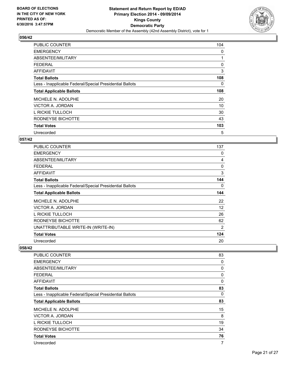

| <b>PUBLIC COUNTER</b>                                    | 104 |
|----------------------------------------------------------|-----|
| <b>EMERGENCY</b>                                         | 0   |
| ABSENTEE/MILITARY                                        | 1   |
| <b>FEDERAL</b>                                           | 0   |
| <b>AFFIDAVIT</b>                                         | 3   |
| <b>Total Ballots</b>                                     | 108 |
| Less - Inapplicable Federal/Special Presidential Ballots | 0   |
| <b>Total Applicable Ballots</b>                          | 108 |
| MICHELE N. ADOLPHE                                       | 20  |
| VICTOR A. JORDAN                                         | 10  |
| L RICKIE TULLOCH                                         | 30  |
| RODNEYSE BICHOTTE                                        | 43  |
| <b>Total Votes</b>                                       | 103 |
| Unrecorded                                               | 5   |

## **057/42**

| <b>PUBLIC COUNTER</b>                                    | 137 |
|----------------------------------------------------------|-----|
| <b>EMERGENCY</b>                                         | 0   |
| ABSENTEE/MILITARY                                        | 4   |
| <b>FEDERAL</b>                                           | 0   |
| AFFIDAVIT                                                | 3   |
| <b>Total Ballots</b>                                     | 144 |
| Less - Inapplicable Federal/Special Presidential Ballots | 0   |
| <b>Total Applicable Ballots</b>                          | 144 |
| MICHELE N. ADOLPHE                                       | 22  |
| VICTOR A. JORDAN                                         | 12  |
| L RICKIE TULLOCH                                         | 26  |
| RODNEYSE BICHOTTE                                        | 62  |
| UNATTRIBUTABLE WRITE-IN (WRITE-IN)                       | 2   |
| <b>Total Votes</b>                                       | 124 |
| Unrecorded                                               | 20  |

| PUBLIC COUNTER                                           | 83 |
|----------------------------------------------------------|----|
| <b>EMERGENCY</b>                                         | 0  |
| ABSENTEE/MILITARY                                        | 0  |
| <b>FEDERAL</b>                                           | 0  |
| AFFIDAVIT                                                | 0  |
| <b>Total Ballots</b>                                     | 83 |
| Less - Inapplicable Federal/Special Presidential Ballots | 0  |
| <b>Total Applicable Ballots</b>                          | 83 |
| MICHELE N. ADOLPHE                                       | 15 |
| VICTOR A. JORDAN                                         | 8  |
| L RICKIE TULLOCH                                         | 19 |
| RODNEYSE BICHOTTE                                        | 34 |
| <b>Total Votes</b>                                       | 76 |
| Unrecorded                                               | 7  |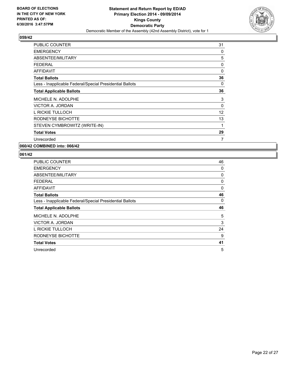

| <b>PUBLIC COUNTER</b>                                    | 31 |
|----------------------------------------------------------|----|
| <b>EMERGENCY</b>                                         | 0  |
| ABSENTEE/MILITARY                                        | 5  |
| <b>FEDERAL</b>                                           | 0  |
| <b>AFFIDAVIT</b>                                         | 0  |
| <b>Total Ballots</b>                                     | 36 |
| Less - Inapplicable Federal/Special Presidential Ballots | 0  |
| <b>Total Applicable Ballots</b>                          | 36 |
| MICHELE N. ADOLPHE                                       | 3  |
| VICTOR A. JORDAN                                         | 0  |
| L RICKIE TULLOCH                                         | 12 |
| RODNEYSE BICHOTTE                                        | 13 |
| STEVEN CYMBROWITZ (WRITE-IN)                             | 1  |
| <b>Total Votes</b>                                       | 29 |
| Unrecorded                                               | 7  |

## **060/42 COMBINED into: 066/42**

| <b>PUBLIC COUNTER</b>                                    | 46 |
|----------------------------------------------------------|----|
| <b>EMERGENCY</b>                                         | 0  |
| ABSENTEE/MILITARY                                        | 0  |
| <b>FEDERAL</b>                                           | 0  |
| <b>AFFIDAVIT</b>                                         | 0  |
| <b>Total Ballots</b>                                     | 46 |
| Less - Inapplicable Federal/Special Presidential Ballots | 0  |
|                                                          |    |
| <b>Total Applicable Ballots</b>                          | 46 |
| MICHELE N. ADOLPHE                                       | 5  |
| VICTOR A. JORDAN                                         | 3  |
| L RICKIE TULLOCH                                         | 24 |
| RODNEYSE BICHOTTE                                        | 9  |
| <b>Total Votes</b>                                       | 41 |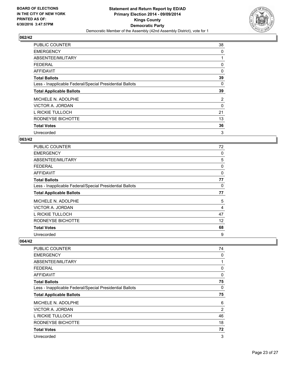

| <b>PUBLIC COUNTER</b>                                    | 38 |
|----------------------------------------------------------|----|
| <b>EMERGENCY</b>                                         | 0  |
| ABSENTEE/MILITARY                                        |    |
| <b>FEDERAL</b>                                           | 0  |
| AFFIDAVIT                                                | 0  |
| <b>Total Ballots</b>                                     | 39 |
| Less - Inapplicable Federal/Special Presidential Ballots | 0  |
| <b>Total Applicable Ballots</b>                          | 39 |
| MICHELE N. ADOLPHE                                       | 2  |
| VICTOR A. JORDAN                                         | 0  |
| L RICKIE TULLOCH                                         | 21 |
| RODNEYSE BICHOTTE                                        | 13 |
| <b>Total Votes</b>                                       | 36 |
| Unrecorded                                               | 3  |

## **063/42**

| PUBLIC COUNTER                                           | 72 |
|----------------------------------------------------------|----|
| <b>EMERGENCY</b>                                         | 0  |
| ABSENTEE/MILITARY                                        | 5  |
| FEDERAL                                                  | 0  |
| <b>AFFIDAVIT</b>                                         | 0  |
| <b>Total Ballots</b>                                     | 77 |
| Less - Inapplicable Federal/Special Presidential Ballots | 0  |
| <b>Total Applicable Ballots</b>                          | 77 |
| MICHELE N. ADOLPHE                                       | 5  |
| VICTOR A. JORDAN                                         | 4  |
| L RICKIE TULLOCH                                         | 47 |
| RODNEYSE BICHOTTE                                        | 12 |
| <b>Total Votes</b>                                       | 68 |
| Unrecorded                                               | 9  |

| <b>PUBLIC COUNTER</b>                                    | 74             |
|----------------------------------------------------------|----------------|
| <b>EMERGENCY</b>                                         | 0              |
| ABSENTEE/MILITARY                                        | 1              |
| <b>FEDERAL</b>                                           | 0              |
| AFFIDAVIT                                                | 0              |
| <b>Total Ballots</b>                                     | 75             |
| Less - Inapplicable Federal/Special Presidential Ballots | $\Omega$       |
| <b>Total Applicable Ballots</b>                          | 75             |
| MICHELE N. ADOLPHE                                       | 6              |
| VICTOR A. JORDAN                                         | $\overline{2}$ |
| L RICKIE TULLOCH                                         | 46             |
| RODNEYSE BICHOTTE                                        | 18             |
| <b>Total Votes</b>                                       | 72             |
| Unrecorded                                               | 3              |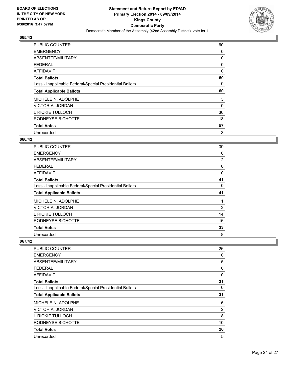

| <b>PUBLIC COUNTER</b>                                    | 60 |
|----------------------------------------------------------|----|
| <b>EMERGENCY</b>                                         | 0  |
| ABSENTEE/MILITARY                                        | 0  |
| <b>FEDERAL</b>                                           | 0  |
| <b>AFFIDAVIT</b>                                         | 0  |
| <b>Total Ballots</b>                                     | 60 |
| Less - Inapplicable Federal/Special Presidential Ballots | 0  |
| <b>Total Applicable Ballots</b>                          | 60 |
|                                                          |    |
| MICHELE N. ADOLPHE                                       | 3  |
| VICTOR A. JORDAN                                         | 0  |
| L RICKIE TULLOCH                                         | 36 |
| RODNEYSE BICHOTTE                                        | 18 |
| <b>Total Votes</b>                                       | 57 |

## **066/42**

| PUBLIC COUNTER                                           | 39             |
|----------------------------------------------------------|----------------|
| <b>EMERGENCY</b>                                         | 0              |
| ABSENTEE/MILITARY                                        | $\overline{2}$ |
| <b>FEDERAL</b>                                           | 0              |
| <b>AFFIDAVIT</b>                                         | 0              |
| <b>Total Ballots</b>                                     | 41             |
| Less - Inapplicable Federal/Special Presidential Ballots | 0              |
| <b>Total Applicable Ballots</b>                          | 41             |
| MICHELE N. ADOLPHE                                       |                |
| VICTOR A. JORDAN                                         | 2              |
| L RICKIE TULLOCH                                         | 14             |
| RODNEYSE BICHOTTE                                        | 16             |
| <b>Total Votes</b>                                       | 33             |
| Unrecorded                                               | 8              |

| <b>PUBLIC COUNTER</b>                                    | 26 |
|----------------------------------------------------------|----|
| <b>EMERGENCY</b>                                         | 0  |
| ABSENTEE/MILITARY                                        | 5  |
| <b>FEDERAL</b>                                           | 0  |
| AFFIDAVIT                                                | 0  |
| <b>Total Ballots</b>                                     | 31 |
| Less - Inapplicable Federal/Special Presidential Ballots | 0  |
| <b>Total Applicable Ballots</b>                          | 31 |
|                                                          |    |
| MICHELE N. ADOLPHE                                       | 6  |
| VICTOR A. JORDAN                                         | 2  |
| L RICKIE TULLOCH                                         | 8  |
| RODNEYSE BICHOTTE                                        | 10 |
| <b>Total Votes</b>                                       | 26 |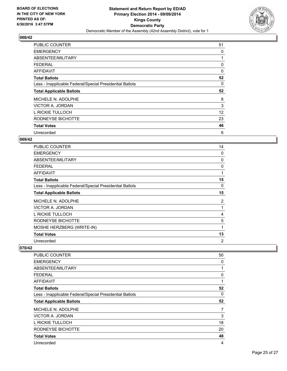

| <b>PUBLIC COUNTER</b>                                    | 51 |
|----------------------------------------------------------|----|
| <b>EMERGENCY</b>                                         | 0  |
| ABSENTEE/MILITARY                                        | 1  |
| <b>FEDERAL</b>                                           | 0  |
| AFFIDAVIT                                                | 0  |
| <b>Total Ballots</b>                                     | 52 |
| Less - Inapplicable Federal/Special Presidential Ballots | 0  |
| <b>Total Applicable Ballots</b>                          | 52 |
| MICHELE N. ADOLPHE                                       | 8  |
| VICTOR A. JORDAN                                         | 3  |
| L RICKIE TULLOCH                                         | 12 |
|                                                          |    |
| RODNEYSE BICHOTTE                                        | 23 |
| <b>Total Votes</b>                                       | 46 |

## **069/42**

| <b>PUBLIC COUNTER</b>                                    | 14 |
|----------------------------------------------------------|----|
| <b>EMERGENCY</b>                                         | 0  |
| ABSENTEE/MILITARY                                        | 0  |
| <b>FEDERAL</b>                                           | 0  |
| <b>AFFIDAVIT</b>                                         | 1  |
| <b>Total Ballots</b>                                     | 15 |
| Less - Inapplicable Federal/Special Presidential Ballots | 0  |
| <b>Total Applicable Ballots</b>                          | 15 |
| MICHELE N. ADOLPHE                                       | 2  |
| VICTOR A. JORDAN                                         | 1  |
| L RICKIE TULLOCH                                         | 4  |
| RODNEYSE BICHOTTE                                        | 5  |
| MOSHE HERZBERG (WRITE-IN)                                | 1  |
| <b>Total Votes</b>                                       | 13 |
| Unrecorded                                               | 2  |

| PUBLIC COUNTER                                           | 50 |
|----------------------------------------------------------|----|
| <b>EMERGENCY</b>                                         | 0  |
| ABSENTEE/MILITARY                                        | 1  |
| <b>FEDERAL</b>                                           | 0  |
| AFFIDAVIT                                                | 1  |
| <b>Total Ballots</b>                                     | 52 |
| Less - Inapplicable Federal/Special Presidential Ballots | 0  |
| <b>Total Applicable Ballots</b>                          | 52 |
| MICHELE N. ADOLPHE                                       | 7  |
| VICTOR A. JORDAN                                         | 3  |
| L RICKIE TULLOCH                                         | 18 |
| RODNEYSE BICHOTTE                                        | 20 |
| <b>Total Votes</b>                                       | 48 |
| Unrecorded                                               | 4  |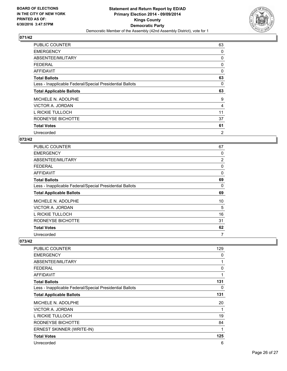

| <b>PUBLIC COUNTER</b>                                    | 63 |
|----------------------------------------------------------|----|
| <b>EMERGENCY</b>                                         | 0  |
| ABSENTEE/MILITARY                                        | 0  |
| <b>FEDERAL</b>                                           | 0  |
| <b>AFFIDAVIT</b>                                         | 0  |
| <b>Total Ballots</b>                                     | 63 |
| Less - Inapplicable Federal/Special Presidential Ballots | 0  |
| <b>Total Applicable Ballots</b>                          | 63 |
| MICHELE N. ADOLPHE                                       | 9  |
| VICTOR A. JORDAN                                         | 4  |
| L RICKIE TULLOCH                                         | 11 |
| RODNEYSE BICHOTTE                                        | 37 |
| <b>Total Votes</b>                                       | 61 |
| Unrecorded                                               | 2  |

## **072/42**

| PUBLIC COUNTER                                           | 67             |
|----------------------------------------------------------|----------------|
| <b>EMERGENCY</b>                                         | 0              |
| ABSENTEE/MILITARY                                        | $\overline{2}$ |
| FEDERAL                                                  | 0              |
| <b>AFFIDAVIT</b>                                         | 0              |
| <b>Total Ballots</b>                                     | 69             |
| Less - Inapplicable Federal/Special Presidential Ballots | 0              |
| <b>Total Applicable Ballots</b>                          | 69             |
| MICHELE N. ADOLPHE                                       | 10             |
| VICTOR A. JORDAN                                         | 5              |
| L RICKIE TULLOCH                                         | 16             |
| RODNEYSE BICHOTTE                                        | 31             |
| <b>Total Votes</b>                                       | 62             |
| Unrecorded                                               | 7              |

| <b>PUBLIC COUNTER</b>                                    | 129 |
|----------------------------------------------------------|-----|
| <b>EMERGENCY</b>                                         | 0   |
| ABSENTEE/MILITARY                                        | 1   |
| <b>FEDERAL</b>                                           | 0   |
| <b>AFFIDAVIT</b>                                         | 1   |
| <b>Total Ballots</b>                                     | 131 |
| Less - Inapplicable Federal/Special Presidential Ballots | 0   |
| <b>Total Applicable Ballots</b>                          | 131 |
| MICHELE N. ADOLPHE                                       | 20  |
| VICTOR A. JORDAN                                         | 1   |
| L RICKIE TULLOCH                                         | 19  |
| RODNEYSE BICHOTTE                                        | 84  |
| ERNEST SKINNER (WRITE-IN)                                | 1   |
| <b>Total Votes</b>                                       | 125 |
| Unrecorded                                               | 6   |